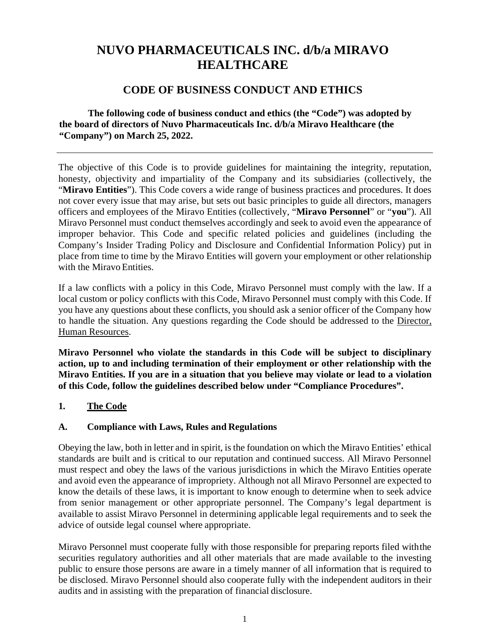# **NUVO PHARMACEUTICALS INC. d/b/a MIRAVO HEALTHCARE**

# **CODE OF BUSINESS CONDUCT AND ETHICS**

**The following code of business conduct and ethics (the "Code") was adopted by the board of directors of Nuvo Pharmaceuticals Inc. d/b/a Miravo Healthcare (the "Company") on March 25, 2022.**

The objective of this Code is to provide guidelines for maintaining the integrity, reputation, honesty, objectivity and impartiality of the Company and its subsidiaries (collectively, the "**Miravo Entities**"). This Code covers a wide range of business practices and procedures. It does not cover every issue that may arise, but sets out basic principles to guide all directors, managers officers and employees of the Miravo Entities (collectively, "**Miravo Personnel**" or "**you**"). All Miravo Personnel must conduct themselves accordingly and seek to avoid even the appearance of improper behavior. This Code and specific related policies and guidelines (including the Company's Insider Trading Policy and Disclosure and Confidential Information Policy) put in place from time to time by the Miravo Entities will govern your employment or other relationship with the Miravo Entities.

If a law conflicts with a policy in this Code, Miravo Personnel must comply with the law. If a local custom or policy conflicts with this Code, Miravo Personnel must comply with this Code. If you have any questions about these conflicts, you should ask a senior officer of the Company how to handle the situation. Any questions regarding the Code should be addressed to the Director, Human Resources.

**Miravo Personnel who violate the standards in this Code will be subject to disciplinary action, up to and including termination of their employment or other relationship with the Miravo Entities. If you are in a situation that you believe may violate or lead to a violation of this Code, follow the guidelines described below under "Compliance Procedures".**

#### **1. The Code**

## **A. Compliance with Laws, Rules and Regulations**

Obeying the law, both in letter and in spirit, is the foundation on which the Miravo Entities' ethical standards are built and is critical to our reputation and continued success. All Miravo Personnel must respect and obey the laws of the various jurisdictions in which the Miravo Entities operate and avoid even the appearance of impropriety. Although not all Miravo Personnel are expected to know the details of these laws, it is important to know enough to determine when to seek advice from senior management or other appropriate personnel. The Company's legal department is available to assist Miravo Personnel in determining applicable legal requirements and to seek the advice of outside legal counsel where appropriate.

Miravo Personnel must cooperate fully with those responsible for preparing reports filed withthe securities regulatory authorities and all other materials that are made available to the investing public to ensure those persons are aware in a timely manner of all information that is required to be disclosed. Miravo Personnel should also cooperate fully with the independent auditors in their audits and in assisting with the preparation of financial disclosure.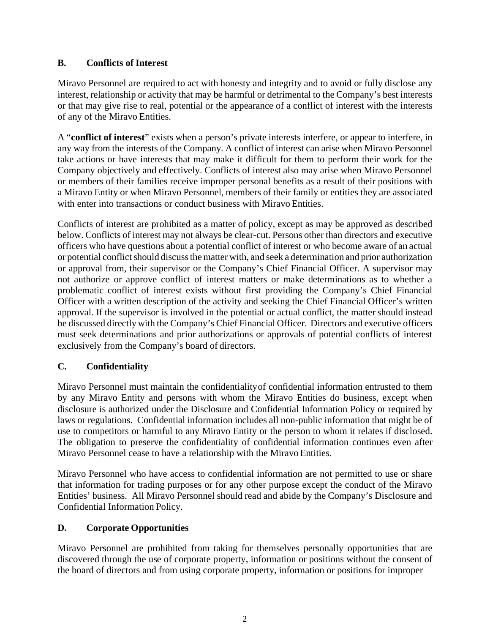## **B. Conflicts of Interest**

Miravo Personnel are required to act with honesty and integrity and to avoid or fully disclose any interest, relationship or activity that may be harmful or detrimental to the Company's best interests or that may give rise to real, potential or the appearance of a conflict of interest with the interests of any of the Miravo Entities.

A "**conflict of interest**" exists when a person's private interests interfere, or appear to interfere, in any way from the interests of the Company. A conflict of interest can arise when Miravo Personnel take actions or have interests that may make it difficult for them to perform their work for the Company objectively and effectively. Conflicts of interest also may arise when Miravo Personnel or members of their families receive improper personal benefits as a result of their positions with a Miravo Entity or when Miravo Personnel, members of their family or entities they are associated with enter into transactions or conduct business with Miravo Entities.

Conflicts of interest are prohibited as a matter of policy, except as may be approved as described below. Conflicts of interest may not always be clear-cut. Persons other than directors and executive officers who have questions about a potential conflict of interest or who become aware of an actual or potential conflict should discuss the matter with, and seek a determination and prior authorization or approval from, their supervisor or the Company's Chief Financial Officer. A supervisor may not authorize or approve conflict of interest matters or make determinations as to whether a problematic conflict of interest exists without first providing the Company's Chief Financial Officer with a written description of the activity and seeking the Chief Financial Officer's written approval. If the supervisor is involved in the potential or actual conflict, the matter should instead be discussed directly with the Company's Chief Financial Officer. Directors and executive officers must seek determinations and prior authorizations or approvals of potential conflicts of interest exclusively from the Company's board of directors.

# **C. Confidentiality**

Miravo Personnel must maintain the confidentialityof confidential information entrusted to them by any Miravo Entity and persons with whom the Miravo Entities do business, except when disclosure is authorized under the Disclosure and Confidential Information Policy or required by laws or regulations. Confidential information includes all non-public information that might be of use to competitors or harmful to any Miravo Entity or the person to whom it relates if disclosed. The obligation to preserve the confidentiality of confidential information continues even after Miravo Personnel cease to have a relationship with the Miravo Entities.

Miravo Personnel who have access to confidential information are not permitted to use or share that information for trading purposes or for any other purpose except the conduct of the Miravo Entities' business. All Miravo Personnel should read and abide by the Company's Disclosure and Confidential Information Policy.

# **D. Corporate Opportunities**

Miravo Personnel are prohibited from taking for themselves personally opportunities that are discovered through the use of corporate property, information or positions without the consent of the board of directors and from using corporate property, information or positions for improper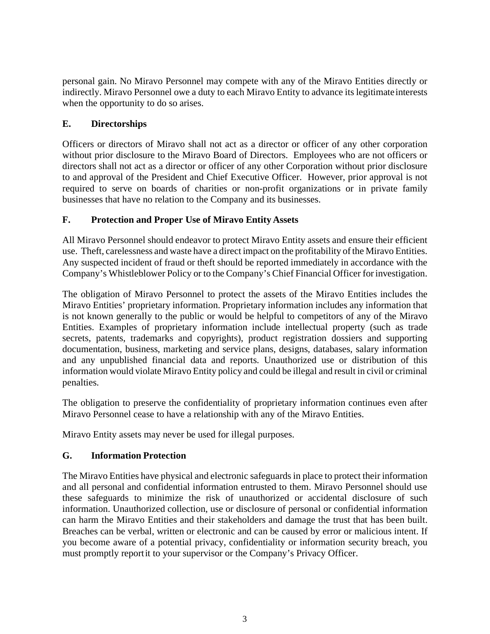personal gain. No Miravo Personnel may compete with any of the Miravo Entities directly or indirectly. Miravo Personnel owe a duty to each Miravo Entity to advance its legitimate interests when the opportunity to do so arises.

## **E. Directorships**

Officers or directors of Miravo shall not act as a director or officer of any other corporation without prior disclosure to the Miravo Board of Directors. Employees who are not officers or directors shall not act as a director or officer of any other Corporation without prior disclosure to and approval of the President and Chief Executive Officer. However, prior approval is not required to serve on boards of charities or non-profit organizations or in private family businesses that have no relation to the Company and its businesses.

## **F. Protection and Proper Use of Miravo Entity Assets**

All Miravo Personnel should endeavor to protect Miravo Entity assets and ensure their efficient use. Theft, carelessness and waste have a direct impact on the profitability of the Miravo Entities. Any suspected incident of fraud or theft should be reported immediately in accordance with the Company's Whistleblower Policy or to the Company's Chief Financial Officer forinvestigation.

The obligation of Miravo Personnel to protect the assets of the Miravo Entities includes the Miravo Entities' proprietary information. Proprietary information includes any information that is not known generally to the public or would be helpful to competitors of any of the Miravo Entities. Examples of proprietary information include intellectual property (such as trade secrets, patents, trademarks and copyrights), product registration dossiers and supporting documentation, business, marketing and service plans, designs, databases, salary information and any unpublished financial data and reports. Unauthorized use or distribution of this information would violate Miravo Entity policy and could be illegal and result in civil or criminal penalties.

The obligation to preserve the confidentiality of proprietary information continues even after Miravo Personnel cease to have a relationship with any of the Miravo Entities.

Miravo Entity assets may never be used for illegal purposes.

# **G. Information Protection**

The Miravo Entities have physical and electronic safeguards in place to protect their information and all personal and confidential information entrusted to them. Miravo Personnel should use these safeguards to minimize the risk of unauthorized or accidental disclosure of such information. Unauthorized collection, use or disclosure of personal or confidential information can harm the Miravo Entities and their stakeholders and damage the trust that has been built. Breaches can be verbal, written or electronic and can be caused by error or malicious intent. If you become aware of a potential privacy, confidentiality or information security breach, you must promptly reportit to your supervisor or the Company's Privacy Officer.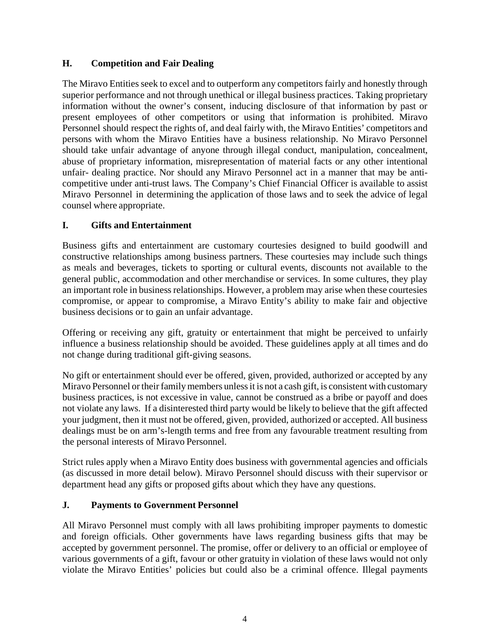## **H. Competition and Fair Dealing**

The Miravo Entities seek to excel and to outperform any competitors fairly and honestly through superior performance and not through unethical or illegal business practices. Taking proprietary information without the owner's consent, inducing disclosure of that information by past or present employees of other competitors or using that information is prohibited. Miravo Personnel should respect the rights of, and deal fairly with, the Miravo Entities' competitors and persons with whom the Miravo Entities have a business relationship. No Miravo Personnel should take unfair advantage of anyone through illegal conduct, manipulation, concealment, abuse of proprietary information, misrepresentation of material facts or any other intentional unfair- dealing practice. Nor should any Miravo Personnel act in a manner that may be anticompetitive under anti-trust laws. The Company's Chief Financial Officer is available to assist Miravo Personnel in determining the application of those laws and to seek the advice of legal counsel where appropriate.

## **I. Gifts and Entertainment**

Business gifts and entertainment are customary courtesies designed to build goodwill and constructive relationships among business partners. These courtesies may include such things as meals and beverages, tickets to sporting or cultural events, discounts not available to the general public, accommodation and other merchandise or services. In some cultures, they play an important role in business relationships. However, a problem may arise when these courtesies compromise, or appear to compromise, a Miravo Entity's ability to make fair and objective business decisions or to gain an unfair advantage.

Offering or receiving any gift, gratuity or entertainment that might be perceived to unfairly influence a business relationship should be avoided. These guidelines apply at all times and do not change during traditional gift-giving seasons.

No gift or entertainment should ever be offered, given, provided, authorized or accepted by any Miravo Personnel or their family members unless it is not a cash gift, is consistent with customary business practices, is not excessive in value, cannot be construed as a bribe or payoff and does not violate any laws. If a disinterested third party would be likely to believe that the gift affected your judgment, then it must not be offered, given, provided, authorized or accepted. All business dealings must be on arm's-length terms and free from any favourable treatment resulting from the personal interests of Miravo Personnel.

Strict rules apply when a Miravo Entity does business with governmental agencies and officials (as discussed in more detail below). Miravo Personnel should discuss with their supervisor or department head any gifts or proposed gifts about which they have any questions.

#### **J. Payments to Government Personnel**

All Miravo Personnel must comply with all laws prohibiting improper payments to domestic and foreign officials. Other governments have laws regarding business gifts that may be accepted by government personnel. The promise, offer or delivery to an official or employee of various governments of a gift, favour or other gratuity in violation of these laws would not only violate the Miravo Entities' policies but could also be a criminal offence. Illegal payments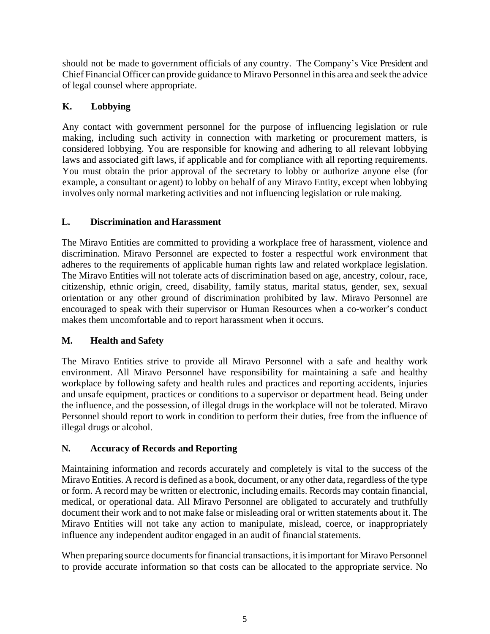should not be made to government officials of any country. The Company's Vice President and Chief Financial Officer can provide guidance to Miravo Personnel in this area and seek the advice of legal counsel where appropriate.

# **K. Lobbying**

Any contact with government personnel for the purpose of influencing legislation or rule making, including such activity in connection with marketing or procurement matters, is considered lobbying. You are responsible for knowing and adhering to all relevant lobbying laws and associated gift laws, if applicable and for compliance with all reporting requirements. You must obtain the prior approval of the secretary to lobby or authorize anyone else (for example, a consultant or agent) to lobby on behalf of any Miravo Entity, except when lobbying involves only normal marketing activities and not influencing legislation or rule making.

# **L. Discrimination and Harassment**

The Miravo Entities are committed to providing a workplace free of harassment, violence and discrimination. Miravo Personnel are expected to foster a respectful work environment that adheres to the requirements of applicable human rights law and related workplace legislation. The Miravo Entities will not tolerate acts of discrimination based on age, ancestry, colour, race, citizenship, ethnic origin, creed, disability, family status, marital status, gender, sex, sexual orientation or any other ground of discrimination prohibited by law. Miravo Personnel are encouraged to speak with their supervisor or Human Resources when a co-worker's conduct makes them uncomfortable and to report harassment when it occurs.

# **M. Health and Safety**

The Miravo Entities strive to provide all Miravo Personnel with a safe and healthy work environment. All Miravo Personnel have responsibility for maintaining a safe and healthy workplace by following safety and health rules and practices and reporting accidents, injuries and unsafe equipment, practices or conditions to a supervisor or department head. Being under the influence, and the possession, of illegal drugs in the workplace will not be tolerated. Miravo Personnel should report to work in condition to perform their duties, free from the influence of illegal drugs or alcohol.

# **N. Accuracy of Records and Reporting**

Maintaining information and records accurately and completely is vital to the success of the Miravo Entities. A record is defined as a book, document, or any other data, regardless of the type or form. A record may be written or electronic, including emails. Records may contain financial, medical, or operational data. All Miravo Personnel are obligated to accurately and truthfully document their work and to not make false or misleading oral or written statements about it. The Miravo Entities will not take any action to manipulate, mislead, coerce, or inappropriately influence any independent auditor engaged in an audit of financial statements.

When preparing source documents for financial transactions, it is important for Miravo Personnel to provide accurate information so that costs can be allocated to the appropriate service. No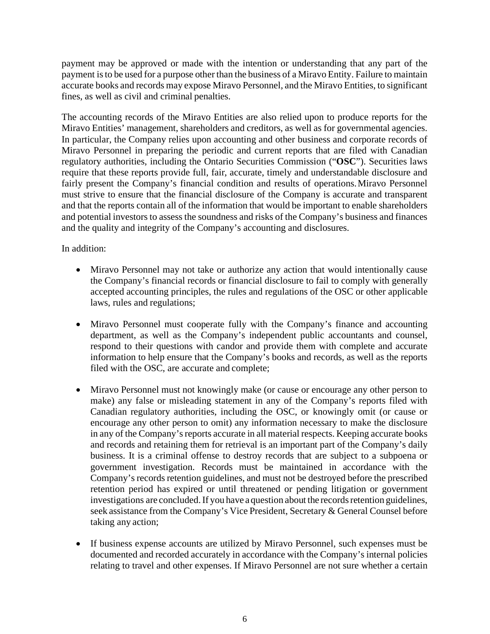payment may be approved or made with the intention or understanding that any part of the payment is to be used for a purpose other than the business of a Miravo Entity. Failure to maintain accurate books and records may expose Miravo Personnel, and the Miravo Entities, to significant fines, as well as civil and criminal penalties.

The accounting records of the Miravo Entities are also relied upon to produce reports for the Miravo Entities' management, shareholders and creditors, as well as for governmental agencies. In particular, the Company relies upon accounting and other business and corporate records of Miravo Personnel in preparing the periodic and current reports that are filed with Canadian regulatory authorities, including the Ontario Securities Commission ("**OSC**"). Securities laws require that these reports provide full, fair, accurate, timely and understandable disclosure and fairly present the Company's financial condition and results of operations.Miravo Personnel must strive to ensure that the financial disclosure of the Company is accurate and transparent and that the reports contain all of the information that would be important to enable shareholders and potential investors to assess the soundness and risks of the Company's business and finances and the quality and integrity of the Company's accounting and disclosures.

#### In addition:

- Miravo Personnel may not take or authorize any action that would intentionally cause the Company's financial records or financial disclosure to fail to comply with generally accepted accounting principles, the rules and regulations of the OSC or other applicable laws, rules and regulations;
- Miravo Personnel must cooperate fully with the Company's finance and accounting department, as well as the Company's independent public accountants and counsel, respond to their questions with candor and provide them with complete and accurate information to help ensure that the Company's books and records, as well as the reports filed with the OSC, are accurate and complete;
- Miravo Personnel must not knowingly make (or cause or encourage any other person to make) any false or misleading statement in any of the Company's reports filed with Canadian regulatory authorities, including the OSC, or knowingly omit (or cause or encourage any other person to omit) any information necessary to make the disclosure in any of the Company's reports accurate in all material respects. Keeping accurate books and records and retaining them for retrieval is an important part of the Company's daily business. It is a criminal offense to destroy records that are subject to a subpoena or government investigation. Records must be maintained in accordance with the Company's records retention guidelines, and must not be destroyed before the prescribed retention period has expired or until threatened or pending litigation or government investigations are concluded. If you have a question about the records retention guidelines, seek assistance from the Company's Vice President, Secretary & General Counsel before taking any action;
- If business expense accounts are utilized by Miravo Personnel, such expenses must be documented and recorded accurately in accordance with the Company's internal policies relating to travel and other expenses. If Miravo Personnel are not sure whether a certain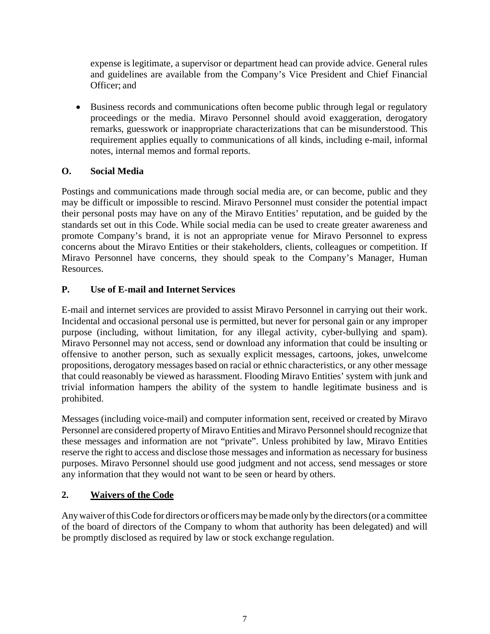expense is legitimate, a supervisor or department head can provide advice. General rules and guidelines are available from the Company's Vice President and Chief Financial Officer; and

• Business records and communications often become public through legal or regulatory proceedings or the media. Miravo Personnel should avoid exaggeration, derogatory remarks, guesswork or inappropriate characterizations that can be misunderstood. This requirement applies equally to communications of all kinds, including e-mail, informal notes, internal memos and formal reports.

## **O. Social Media**

Postings and communications made through social media are, or can become, public and they may be difficult or impossible to rescind. Miravo Personnel must consider the potential impact their personal posts may have on any of the Miravo Entities' reputation, and be guided by the standards set out in this Code. While social media can be used to create greater awareness and promote Company's brand, it is not an appropriate venue for Miravo Personnel to express concerns about the Miravo Entities or their stakeholders, clients, colleagues or competition. If Miravo Personnel have concerns, they should speak to the Company's Manager, Human Resources.

## **P. Use of E-mail and Internet Services**

E-mail and internet services are provided to assist Miravo Personnel in carrying out their work. Incidental and occasional personal use is permitted, but never for personal gain or any improper purpose (including, without limitation, for any illegal activity, cyber-bullying and spam). Miravo Personnel may not access, send or download any information that could be insulting or offensive to another person, such as sexually explicit messages, cartoons, jokes, unwelcome propositions, derogatory messages based on racial or ethnic characteristics, or any other message that could reasonably be viewed as harassment. Flooding Miravo Entities' system with junk and trivial information hampers the ability of the system to handle legitimate business and is prohibited.

Messages (including voice-mail) and computer information sent, received or created by Miravo Personnel are considered property of Miravo Entities and Miravo Personnel should recognize that these messages and information are not "private". Unless prohibited by law, Miravo Entities reserve the right to access and disclose those messages and information as necessary for business purposes. Miravo Personnel should use good judgment and not access, send messages or store any information that they would not want to be seen or heard by others.

# **2. Waivers of the Code**

Any waiver of this Code for directors or officers may be made only by the directors (or a committee of the board of directors of the Company to whom that authority has been delegated) and will be promptly disclosed as required by law or stock exchange regulation.